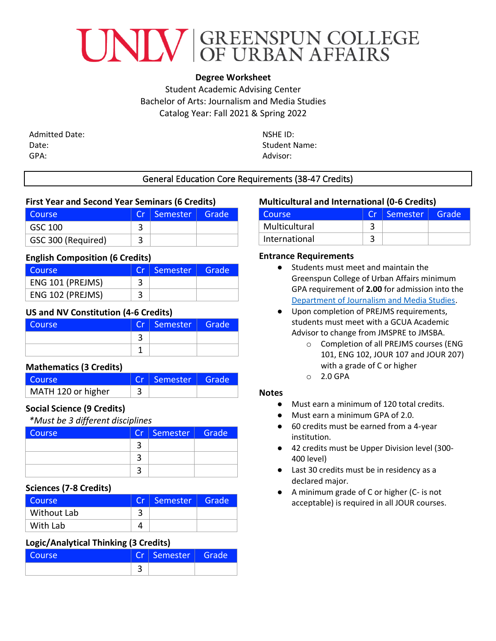

# **Degree Worksheet**

Student Academic Advising Center Bachelor of Arts: Journalism and Media Studies Catalog Year: Fall 2021 & Spring 2022

Admitted Date: Date: GPA:

NSHE ID: Student Name: Advisor:

### General Education Core Requirements (38-47 Credits)

### **First Year and Second Year Seminars (6 Credits)**

| l Course           |   | $Cr \mid$ Semester $\mid$ | LGrade <sup>l</sup> |
|--------------------|---|---------------------------|---------------------|
| GSC 100            |   |                           |                     |
| GSC 300 (Required) | ີ |                           |                     |

### **English Composition (6 Credits)**

| Course           |   | Cr   Semester | Grade |
|------------------|---|---------------|-------|
| ENG 101 (PREJMS) | 3 |               |       |
| ENG 102 (PREJMS) | ำ |               |       |

## **US and NV Constitution (4-6 Credits)**

| <b>Course</b> | Cr | Semester | Grade |
|---------------|----|----------|-------|
|               |    |          |       |
|               |    |          |       |

## **Mathematics (3 Credits)**

| l Course           | Cr   Semester | Grade |
|--------------------|---------------|-------|
| MATH 120 or higher |               |       |

## **Social Science (9 Credits)**

*\*Must be 3 different disciplines*

| Course | Cr   Semester   Grade |  |
|--------|-----------------------|--|
|        |                       |  |
|        |                       |  |
|        |                       |  |

#### **Sciences (7-8 Credits)**

| l Course    |   | Cr Semester | Grade |
|-------------|---|-------------|-------|
| Without Lab | ີ |             |       |
| With Lab    |   |             |       |

## **Logic/Analytical Thinking (3 Credits)**

| OIIICO | F<br><b>M</b> | Semester | Gran<br>de. |
|--------|---------------|----------|-------------|
|        |               |          |             |

### **Multicultural and International (0-6 Credits)**

| Course        | Cr. | Semester | Grade |
|---------------|-----|----------|-------|
| Multicultural |     |          |       |
| International | ◠   |          |       |

#### **Entrance Requirements**

- Students must meet and maintain the Greenspun College of Urban Affairs minimum GPA requirement of **2.00** for admission into the [Department of Journalism and Media Studies.](https://www.unlv.edu/jms)
- Upon completion of PREJMS requirements, students must meet with a GCUA Academic Advisor to change from JMSPRE to JMSBA.
	- o Completion of all PREJMS courses (ENG 101, ENG 102, JOUR 107 and JOUR 207) with a grade of C or higher
	- o 2.0 GPA

#### **Notes**

- Must earn a minimum of 120 total credits.
- Must earn a minimum GPA of 2.0.
- 60 credits must be earned from a 4-year institution.
- 42 credits must be Upper Division level (300-400 level)
- Last 30 credits must be in residency as a declared major.
- A minimum grade of C or higher (C- is not acceptable) is required in all JOUR courses.